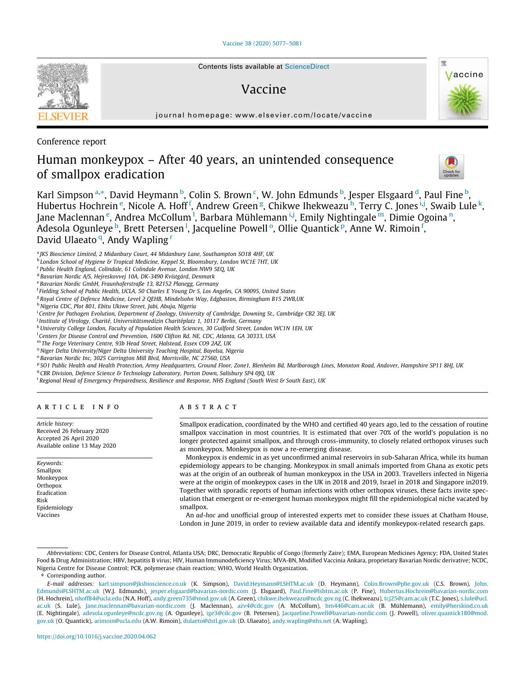[Vaccine 38 \(2020\) 5077–5081](https://doi.org/10.1016/j.vaccine.2020.04.062)



# Vaccine



journal homepage: [www.elsevier.com/locate/vaccine](http://www.elsevier.com/locate/vaccine)

Conference report

# Human monkeypox – After 40 years, an unintended consequence of smallpox eradication

Karl Simpson <sup>a,</sup>\*, David Heymann <sup>b</sup>, Colin S. Brown <sup>c</sup>, W. John Edmunds <sup>b</sup>, Jesper Elsgaard <sup>d</sup>, Paul Fine <sup>b</sup>, Hubertus Hochrein <sup>e</sup>, Nicole A. Hoff <sup>f</sup>, Andrew Green <sup>g</sup>, Chikwe Ihekweazu <sup>h</sup>, Terry C. Jones <sup>i, j</sup>, Swaib Lule <sup>k</sup>, Jane Maclennan <sup>e</sup>, Andrea McCollum <sup>I</sup>, Barbara Mühlemann <sup>i,j</sup>, Emily Nightingale <sup>m</sup>, Dimie Ogoina <sup>n</sup>, Adesola Ogunleye <sup>h</sup>, Brett Petersen <sup>l</sup>, Jacqueline Powell <sup>o</sup>, Ollie Quantick <sup>p</sup>, Anne W. Rimoin <sup>f</sup>, David Ulaeato<sup>q</sup>, Andy Wapling<sup>r</sup>

<sup>a</sup> JKS Bioscience Limited, 2 Midanbury Court, 44 Midanbury Lane, Southampton SO18 4HF, UK

<sup>b</sup> London School of Hygiene & Tropical Medicine, Keppel St, Bloomsbury, London WC1E 7HT, UK

<sup>c</sup> Public Health England, Colindale, 61 Colindale Avenue, London NW9 5EQ, UK

<sup>d</sup> Bavarian Nordic A/S, Hejreskovvej 10A, DK-3490 Kvistgård, Denmark

<sup>e</sup> Bavarian Nordic GmbH, Fraunhoferstraße 13, 82152 Planegg, Germany

<sup>f</sup> Fielding School of Public Health, UCLA, 50 Charles E Young Dr S, Los Angeles, CA 90095, United States

<sup>g</sup> Royal Centre of Defence Medicine, Level 2 QEHB, Mindelsohn Way, Edgbaston, Birmingham B15 2WB,UK

h Nigeria CDC, Plot 801, Ebitu Ukiwe Street, Jabi, Abuja, Nigeria

<sup>i</sup> Centre for Pathogen Evolution, Department of Zoology, University of Cambridge, Downing St., Cambridge CB2 3EJ, UK

<sup>j</sup> Institute of Virology, Charité, Universitätsmedizin Charitéplatz 1, 10117 Berlin, Germany

<sup>k</sup>University College London, Faculty of Population Health Sciences, 30 Guilford Street, London WC1N 1EH, UK

<sup>1</sup> Centers for Disease Control and Prevention, 1600 Clifton Rd. NE, CDC, Atlanta, GA 30333, USA

<sup>m</sup> The Forge Veterinary Centre, 93b Head Street, Halstead, Essex CO9 2AZ, UK

<sup>n</sup> Niger Delta University/Niger Delta University Teaching Hospital, Bayelsa, Nigeria

<sup>o</sup> Bavarian Nordic Inc, 3025 Carrington Mill Blvd, Morrisville, NC 27560, USA

P SO1 Public Health and Health Protection, Army Headquarters, Ground Floor, Zone1, Blenheim Bd, Marlborough Lines, Monxton Road, Andover, Hampshire SP11 8HJ, UK

<sup>q</sup> CBR Division, Defence Science & Technology Laboratory, Porton Down, Salisbury SP4 0JQ, UK

<sup>r</sup> Regional Head of Emergency Preparedness, Resilience and Response, NHS England (South West & South East), UK

### article info

Article history: Received 26 February 2020 Accepted 26 April 2020 Available online 13 May 2020

Keywords: Smallpox Monkeypox **Orthopox** Eradication Risk Epidemiology Vaccines

## **ABSTRACT**

Smallpox eradication, coordinated by the WHO and certified 40 years ago, led to the cessation of routine smallpox vaccination in most countries. It is estimated that over 70% of the world's population is no longer protected against smallpox, and through cross-immunity, to closely related orthopox viruses such as monkeypox. Monkeypox is now a re-emerging disease.

Monkeypox is endemic in as yet unconfirmed animal reservoirs in sub-Saharan Africa, while its human epidemiology appears to be changing. Monkeypox in small animals imported from Ghana as exotic pets was at the origin of an outbreak of human monkeypox in the USA in 2003. Travellers infected in Nigeria were at the origin of monkeypox cases in the UK in 2018 and 2019, Israel in 2018 and Singapore in2019. Together with sporadic reports of human infections with other orthopox viruses, these facts invite speculation that emergent or re-emergent human monkeypox might fill the epidemiological niche vacated by smallpox.

An ad-hoc and unofficial group of interested experts met to consider these issues at Chatham House, London in June 2019, in order to review available data and identify monkeypox-related research gaps.

⇑ Corresponding author.

Abbreviations: CDC, Centers for Disease Control, Atlanta USA; DRC, Democratic Republic of Congo (formerly Zaire); EMA, European Medicines Agency; FDA, United States Food & Drug Administration; HBV, hepatitis B virus; HIV, Human Immunodeficiency Virus; MVA-BN, Modified Vaccinia Ankara, proprietary Bavarian Nordic derivative; NCDC, Nigeria Centre for Disease Control; PCR, polymerase chain reaction; WHO, World Health Organization.

E-mail addresses: [karl.simpson@jksbioscience.co.uk](mailto:karl.simpson@jksbioscience.co.uk) (K. Simpson), [David.Heymann@LSHTM.ac.uk](mailto:David.Heymann@LSHTM.ac.uk) (D. Heymann), [Colin.Brown@phe.gov.uk](mailto:Colin.Brown@phe.gov.uk) (C.S. Brown), [John.](mailto:John.Edmunds@LSHTM.ac.uk) [Edmunds@LSHTM.ac.uk](mailto:John.Edmunds@LSHTM.ac.uk) (W.J. Edmunds), [jesper.elsgaard@bavarian-nordic.com](mailto:jesper.elsgaard@bavarian-nordic.com) (J. Elsgaard), [Paul.Fine@lshtm.ac.uk](mailto:Paul.Fine@lshtm.ac.uk) (P. Fine), [Hubertus.Hochrein@bavarian-nordic.com](mailto:Hubertus.Hochrein@bavarian-nordic.com) (H. Hochrein), [nhoff84@ucla.edu](mailto:nhoff84@ucla.edu) (N.A. Hoff), [andy.green735@mod.gov.uk](mailto:andy.green735@mod.gov.uk) (A. Green), [chikwe.ihekweazu@ncdc.gov.ng](mailto:chikwe.ihekweazu@ncdc.gov.ng) (C. Ihekweazu), [tcj25@cam.ac.uk](mailto:tcj25@cam.ac.uk) (T.C. Jones), [s.lule@ucl.](mailto:s.lule@ucl.ac.uk) [ac.uk](mailto:s.lule@ucl.ac.uk) (S. Lule), [Jane.maclennan@bavarian-nordic.com](mailto:Jane.maclennan@bavarian-nordic.com) (J. Maclennan), [azv4@cdc.gov](mailto:azv4@cdc.gov) (A. McCollum), [bm446@cam.ac.uk](mailto:bm446@cam.ac.uk) (B. Mühlemann), [emily@herskind.co.uk](mailto:emily@herskind.co.uk) (E. Nightingale), [adesola.ogunleye@ncdc.gov.ng](mailto:adesola.ogunleye@ncdc.gov.ng) (A. Ogunleye), [ige3@cdc.gov](mailto:ige3@cdc.gov) (B. Petersen), [Jacqueline.Powell@bavarian-nordic.com](mailto:Jacqueline.Powell@bavarian-nordic.com) (J. Powell), [oliver.quantick180@mod.](mailto:oliver.quantick180@mod.gov.uk) [gov.uk](mailto:oliver.quantick180@mod.gov.uk) (O. Quantick), [arimoin@ucla.edu](mailto:arimoin@ucla.edu) (A.W. Rimoin), [dulaeto@dstl.gov.uk](mailto:dulaeto@dstl.gov.uk) (D. Ulaeato), [andy.wapling@nhs.net](mailto:andy.wapling@nhs.net) (A. Wapling).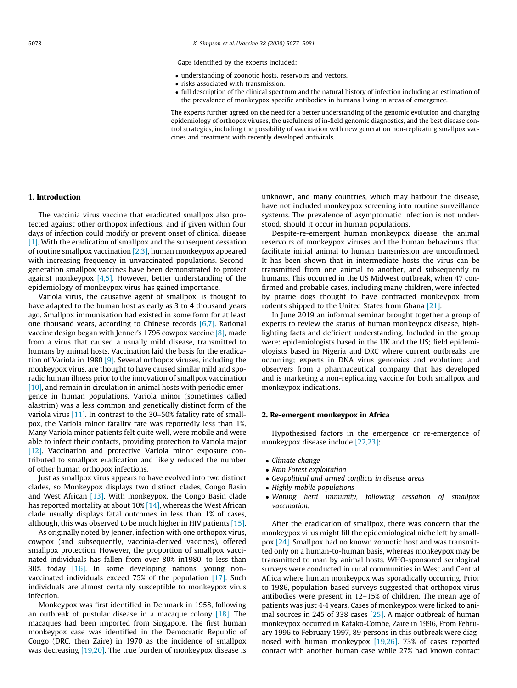Gaps identified by the experts included:

- understanding of zoonotic hosts, reservoirs and vectors.
- risks associated with transmission.
- full description of the clinical spectrum and the natural history of infection including an estimation of the prevalence of monkeypox specific antibodies in humans living in areas of emergence.

The experts further agreed on the need for a better understanding of the genomic evolution and changing epidemiology of orthopox viruses, the usefulness of in-field genomic diagnostics, and the best disease control strategies, including the possibility of vaccination with new generation non-replicating smallpox vaccines and treatment with recently developed antivirals.

#### 1. Introduction

The vaccinia virus vaccine that eradicated smallpox also protected against other orthopox infections, and if given within four days of infection could modify or prevent onset of clinical disease [\[1\]](#page-3-0). With the eradication of smallpox and the subsequent cessation of routine smallpox vaccination [\[2,3\]](#page-3-0), human monkeypox appeared with increasing frequency in unvaccinated populations. Secondgeneration smallpox vaccines have been demonstrated to protect against monkeypox  $[4,5]$ . However, better understanding of the epidemiology of monkeypox virus has gained importance.

Variola virus, the causative agent of smallpox, is thought to have adapted to the human host as early as 3 to 4 thousand years ago. Smallpox immunisation had existed in some form for at least one thousand years, according to Chinese records [\[6,7\]](#page-3-0). Rational vaccine design began with Jenner's 1796 cowpox vaccine [\[8\],](#page-3-0) made from a virus that caused a usually mild disease, transmitted to humans by animal hosts. Vaccination laid the basis for the eradication of Variola in 1980 [\[9\]](#page-3-0). Several orthopox viruses, including the monkeypox virus, are thought to have caused similar mild and sporadic human illness prior to the innovation of smallpox vaccination [\[10\]](#page-3-0), and remain in circulation in animal hosts with periodic emergence in human populations. Variola minor (sometimes called alastrim) was a less common and genetically distinct form of the variola virus [\[11\]](#page-3-0). In contrast to the 30–50% fatality rate of smallpox, the Variola minor fatality rate was reportedly less than 1%. Many Variola minor patients felt quite well, were mobile and were able to infect their contacts, providing protection to Variola major [\[12\]](#page-3-0). Vaccination and protective Variola minor exposure contributed to smallpox eradication and likely reduced the number of other human orthopox infections.

Just as smallpox virus appears to have evolved into two distinct clades, so Monkeypox displays two distinct clades, Congo Basin and West African [\[13\]](#page-3-0). With monkeypox, the Congo Basin clade has reported mortality at about 10% [\[14\],](#page-3-0) whereas the West African clade usually displays fatal outcomes in less than 1% of cases, although, this was observed to be much higher in HIV patients [\[15\].](#page-3-0)

As originally noted by Jenner, infection with one orthopox virus, cowpox (and subsequently, vaccinia-derived vaccines), offered smallpox protection. However, the proportion of smallpox vaccinated individuals has fallen from over 80% in1980, to less than 30% today [\[16\]](#page-3-0). In some developing nations, young nonvaccinated individuals exceed 75% of the population [\[17\].](#page-3-0) Such individuals are almost certainly susceptible to monkeypox virus infection.

Monkeypox was first identified in Denmark in 1958, following an outbreak of pustular disease in a macaque colony  $[18]$ . The macaques had been imported from Singapore. The first human monkeypox case was identified in the Democratic Republic of Congo (DRC, then Zaire) in 1970 as the incidence of smallpox was decreasing [\[19,20\]](#page-3-0). The true burden of monkeypox disease is unknown, and many countries, which may harbour the disease, have not included monkeypox screening into routine surveillance systems. The prevalence of asymptomatic infection is not understood, should it occur in human populations.

Despite-re-emergent human monkeypox disease, the animal reservoirs of monkeypox viruses and the human behaviours that facilitate initial animal to human transmission are unconfirmed. It has been shown that in intermediate hosts the virus can be transmitted from one animal to another, and subsequently to humans. This occurred in the US Midwest outbreak, when 47 confirmed and probable cases, including many children, were infected by prairie dogs thought to have contracted monkeypox from rodents shipped to the United States from Ghana [\[21\]](#page-3-0).

In June 2019 an informal seminar brought together a group of experts to review the status of human monkeypox disease, highlighting facts and deficient understanding. Included in the group were: epidemiologists based in the UK and the US; field epidemiologists based in Nigeria and DRC where current outbreaks are occurring; experts in DNA virus genomics and evolution; and observers from a pharmaceutical company that has developed and is marketing a non-replicating vaccine for both smallpox and monkeypox indications.

#### 2. Re-emergent monkeypox in Africa

Hypothesised factors in the emergence or re-emergence of monkeypox disease include [\[22,23\]](#page-3-0):

- Climate change
- Rain Forest exploitation
- Geopolitical and armed conflicts in disease areas
- Highly mobile populations
- Waning herd immunity, following cessation of smallpox vaccination.

After the eradication of smallpox, there was concern that the monkeypox virus might fill the epidemiological niche left by smallpox [\[24\]](#page-4-0). Smallpox had no known zoonotic host and was transmitted only on a human-to-human basis, whereas monkeypox may be transmitted to man by animal hosts. WHO-sponsored serological surveys were conducted in rural communities in West and Central Africa where human monkeypox was sporadically occurring. Prior to 1986, population-based surveys suggested that orthopox virus antibodies were present in 12–15% of children. The mean age of patients was just 44 years. Cases of monkeypox were linked to animal sources in 245 of 338 cases [\[25\].](#page-4-0) A major outbreak of human monkeypox occurred in Katako-Combe, Zaire in 1996, From February 1996 to February 1997, 89 persons in this outbreak were diagnosed with human monkeypox [\[19,26\].](#page-3-0) 73% of cases reported contact with another human case while 27% had known contact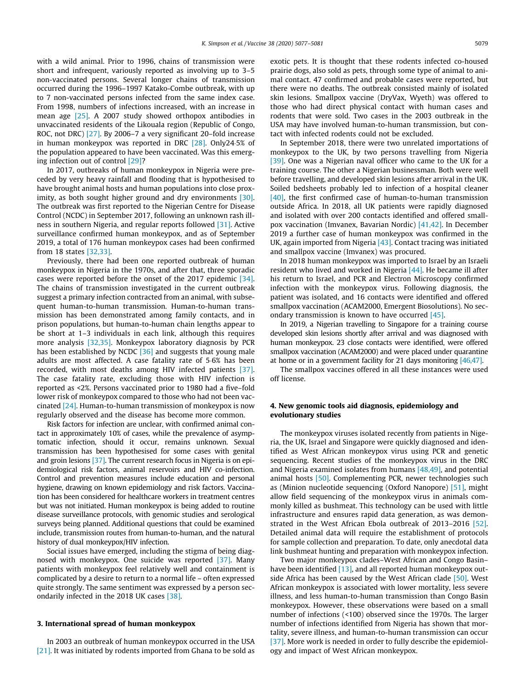with a wild animal. Prior to 1996, chains of transmission were short and infrequent, variously reported as involving up to 3–5 non-vaccinated persons. Several longer chains of transmission occurred during the 1996–1997 Katako-Combe outbreak, with up to 7 non-vaccinated persons infected from the same index case. From 1998, numbers of infections increased, with an increase in mean age [\[25\].](#page-4-0) A 2007 study showed orthopox antibodies in unvaccinated residents of the Likouala region (Republic of Congo, ROC, not DRC) [\[27\]](#page-4-0). By 2006–7 a very significant 20-fold increase in human monkeypox was reported in DRC [\[28\]](#page-4-0). Only245% of the population appeared to have been vaccinated. Was this emerging infection out of control [\[29\]](#page-4-0)?

In 2017, outbreaks of human monkeypox in Nigeria were preceded by very heavy rainfall and flooding that is hypothesised to have brought animal hosts and human populations into close prox-imity, as both sought higher ground and dry environments [\[30\].](#page-4-0) The outbreak was first reported to the Nigerian Centre for Disease Control (NCDC) in September 2017, following an unknown rash illness in southern Nigeria, and regular reports followed [\[31\].](#page-4-0) Active surveillance confirmed human monkeypox, and as of September 2019, a total of 176 human monkeypox cases had been confirmed from 18 states [\[32,33\]](#page-4-0).

Previously, there had been one reported outbreak of human monkeypox in Nigeria in the 1970s, and after that, three sporadic cases were reported before the onset of the 2017 epidemic [\[34\].](#page-4-0) The chains of transmission investigated in the current outbreak suggest a primary infection contracted from an animal, with subsequent human-to-human transmission. Human-to-human transmission has been demonstrated among family contacts, and in prison populations, but human-to-human chain lengths appear to be short at 1–3 individuals in each link, although this requires more analysis [\[32,35\].](#page-4-0) Monkeypox laboratory diagnosis by PCR has been established by NCDC [\[36\]](#page-4-0) and suggests that young male adults are most affected. A case fatality rate of 56% has been recorded, with most deaths among HIV infected patients [\[37\].](#page-4-0) The case fatality rate, excluding those with HIV infection is reported as <2%. Persons vaccinated prior to 1980 had a five–fold lower risk of monkeypox compared to those who had not been vaccinated [\[24\].](#page-4-0) Human-to-human transmission of monkeypox is now regularly observed and the disease has become more common.

Risk factors for infection are unclear, with confirmed animal contact in approximately 10% of cases, while the prevalence of asymptomatic infection, should it occur, remains unknown. Sexual transmission has been hypothesised for some cases with genital and groin lesions [\[37\]](#page-4-0). The current research focus in Nigeria is on epidemiological risk factors, animal reservoirs and HIV co-infection. Control and prevention measures include education and personal hygiene, drawing on known epidemiology and risk factors. Vaccination has been considered for healthcare workers in treatment centres but was not initiated. Human monkeypox is being added to routine disease surveillance protocols, with genomic studies and serological surveys being planned. Additional questions that could be examined include, transmission routes from human-to-human, and the natural history of dual monkeypox/HIV infection.

Social issues have emerged, including the stigma of being diagnosed with monkeypox. One suicide was reported [\[37\].](#page-4-0) Many patients with monkeypox feel relatively well and containment is complicated by a desire to return to a normal life – often expressed quite strongly. The same sentiment was expressed by a person secondarily infected in the 2018 UK cases [\[38\].](#page-4-0)

#### 3. International spread of human monkeypox

In 2003 an outbreak of human monkeypox occurred in the USA [\[21\].](#page-3-0) It was initiated by rodents imported from Ghana to be sold as exotic pets. It is thought that these rodents infected co-housed prairie dogs, also sold as pets, through some type of animal to animal contact. 47 confirmed and probable cases were reported, but there were no deaths. The outbreak consisted mainly of isolated skin lesions. Smallpox vaccine (DryVax, Wyeth) was offered to those who had direct physical contact with human cases and rodents that were sold. Two cases in the 2003 outbreak in the USA may have involved human-to-human transmission, but contact with infected rodents could not be excluded.

In September 2018, there were two unrelated importations of monkeypox to the UK, by two persons travelling from Nigeria [\[39\]](#page-4-0). One was a Nigerian naval officer who came to the UK for a training course. The other a Nigerian businessman. Both were well before travelling, and developed skin lesions after arrival in the UK. Soiled bedsheets probably led to infection of a hospital cleaner [\[40\],](#page-4-0) the first confirmed case of human-to-human transmission outside Africa. In 2018, all UK patients were rapidly diagnosed and isolated with over 200 contacts identified and offered smallpox vaccination (Imvanex, Bavarian Nordic) [\[41,42\].](#page-4-0) In December 2019 a further case of human monkeypox was confirmed in the UK, again imported from Nigeria [\[43\].](#page-4-0) Contact tracing was initiated and smallpox vaccine (Imvanex) was procured.

In 2018 human monkeypox was imported to Israel by an Israeli resident who lived and worked in Nigeria [\[44\].](#page-4-0) He became ill after his return to Israel, and PCR and Electron Microscopy confirmed infection with the monkeypox virus. Following diagnosis, the patient was isolated, and 16 contacts were identified and offered smallpox vaccination (ACAM2000, Emergent Biosolutions). No secondary transmission is known to have occurred [\[45\]](#page-4-0).

In 2019, a Nigerian travelling to Singapore for a training course developed skin lesions shortly after arrival and was diagnosed with human monkeypox. 23 close contacts were identified, were offered smallpox vaccination (ACAM2000) and were placed under quarantine at home or in a government facility for 21 days monitoring [\[46,47\]](#page-4-0).

The smallpox vaccines offered in all these instances were used off license.

## 4. New genomic tools aid diagnosis, epidemiology and evolutionary studies

The monkeypox viruses isolated recently from patients in Nigeria, the UK, Israel and Singapore were quickly diagnosed and identified as West African monkeypox virus using PCR and genetic sequencing. Recent studies of the monkeypox virus in the DRC and Nigeria examined isolates from humans  $[48,49]$ , and potential animal hosts [\[50\]](#page-4-0). Complementing PCR, newer technologies such as (Minion nucleotide sequencing (Oxford Nanopore) [\[51\]](#page-4-0), might allow field sequencing of the monkeypox virus in animals commonly killed as bushmeat. This technology can be used with little infrastructure and ensures rapid data generation, as was demonstrated in the West African Ebola outbreak of 2013–2016 [\[52\].](#page-4-0) Detailed animal data will require the establishment of protocols for sample collection and preparation. To date, only anecdotal data link bushmeat hunting and preparation with monkeypox infection.

Two major monkeypox clades–West African and Congo Basin– have been identified [\[13\],](#page-3-0) and all reported human monkeypox outside Africa has been caused by the West African clade [\[50\]](#page-4-0). West African monkeypox is associated with lower mortality, less severe illness, and less human-to-human transmission than Congo Basin monkeypox. However, these observations were based on a small number of infections (<100) observed since the 1970s. The larger number of infections identified from Nigeria has shown that mortality, severe illness, and human-to-human transmission can occur [\[37\]](#page-4-0). More work is needed in order to fully describe the epidemiology and impact of West African monkeypox.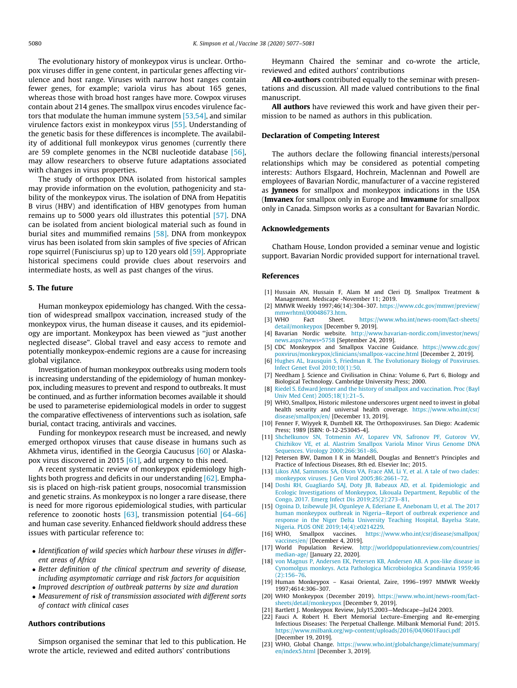<span id="page-3-0"></span>The evolutionary history of monkeypox virus is unclear. Orthopox viruses differ in gene content, in particular genes affecting virulence and host range. Viruses with narrow host ranges contain fewer genes, for example; variola virus has about 165 genes, whereas those with broad host ranges have more. Cowpox viruses contain about 214 genes. The smallpox virus encodes virulence factors that modulate the human immune system [\[53,54\]](#page-4-0), and similar virulence factors exist in monkeypox virus [\[55\]](#page-4-0). Understanding of the genetic basis for these differences is incomplete. The availability of additional full monkeypox virus genomes (currently there are 59 complete genomes in the NCBI nucleotide database [\[56\],](#page-4-0) may allow researchers to observe future adaptations associated with changes in virus properties.

The study of orthopox DNA isolated from historical samples may provide information on the evolution, pathogenicity and stability of the monkeypox virus. The isolation of DNA from Hepatitis B virus (HBV) and identification of HBV genotypes from human remains up to 5000 years old illustrates this potential [\[57\]](#page-4-0). DNA can be isolated from ancient biological material such as found in burial sites and mummified remains [\[58\]](#page-4-0). DNA from monkeypox virus has been isolated from skin samples of five species of African rope squirrel (Funisciurus sp) up to 120 years old [\[59\].](#page-4-0) Appropriate historical specimens could provide clues about reservoirs and intermediate hosts, as well as past changes of the virus.

#### 5. The future

Human monkeypox epidemiology has changed. With the cessation of widespread smallpox vaccination, increased study of the monkeypox virus, the human disease it causes, and its epidemiology are important. Monkeypox has been viewed as ''just another neglected disease". Global travel and easy access to remote and potentially monkeypox-endemic regions are a cause for increasing global vigilance.

Investigation of human monkeypox outbreaks using modern tools is increasing understanding of the epidemiology of human monkeypox, including measures to prevent and respond to outbreaks. It must be continued, and as further information becomes available it should be used to parameterise epidemiological models in order to suggest the comparative effectiveness of interventions such as isolation, safe burial, contact tracing, antivirals and vaccines.

Funding for monkeypox research must be increased, and newly emerged orthopox viruses that cause disease in humans such as Akhmeta virus, identified in the Georgia Caucusus [\[60\]](#page-4-0) or Alaskapox virus discovered in 2015  $[61]$ , add urgency to this need.

A recent systematic review of monkeypox epidemiology highlights both progress and deficits in our understanding [\[62\]](#page-4-0). Emphasis is placed on high-risk patient groups, nosocomial transmission and genetic strains. As monkeypox is no longer a rare disease, there is need for more rigorous epidemiological studies, with particular reference to zoonotic hosts  $[63]$ , transmission potential  $[64-66]$ and human case severity. Enhanced fieldwork should address these issues with particular reference to:

- Identification of wild species which harbour these viruses in different areas of Africa
- Better definition of the clinical spectrum and severity of disease, including asymptomatic carriage and risk factors for acquisition • Improved description of outbreak patterns by size and duration
- Measurement of risk of transmission associated with different sorts of contact with clinical cases

### Authors contributions

Simpson organised the seminar that led to this publication. He wrote the article, reviewed and edited authors' contributions

Heymann Chaired the seminar and co-wrote the article, reviewed and edited authors' contributions

All co-authors contributed equally to the seminar with presentations and discussion. All made valued contributions to the final manuscript.

All authors have reviewed this work and have given their permission to be named as authors in this publication.

## Declaration of Competing Interest

The authors declare the following financial interests/personal relationships which may be considered as potential competing interests: Authors Elsgaard, Hochrein, Maclennan and Powell are employees of Bavarian Nordic, manufacturer of a vaccine registered as Jynneos for smallpox and monkeypox indications in the USA (Imvanex for smallpox only in Europe and Imvamune for smallpox only in Canada. Simpson works as a consultant for Bavarian Nordic.

#### Acknowledgements

Chatham House, London provided a seminar venue and logistic support. Bavarian Nordic provided support for international travel.

#### References

- [1] Hussain AN, Hussain F, Alam M and Cleri DJ. Smallpox Treatment & Management. Medscape -November 11; 2019.
- [2] MMWR Weekly 1997;46(14):304–307. [https://www.cdc.gov/mmwr/preview/](https://www.cdc.gov/mmwr/preview/mmwrhtml/00048673.htm) [mmwrhtml/00048673.htm](https://www.cdc.gov/mmwr/preview/mmwrhtml/00048673.htm).
- [3] WHO Fact Sheet. [https://www.who.int/news-room/fact-sheets/](https://www.who.int/news-room/fact-sheets/detail/monkeypox) [detail/monkeypox](https://www.who.int/news-room/fact-sheets/detail/monkeypox) [December 9, 2019].
- [4] Bavarian Nordic website. [http://www.bavarian-nordic.com/investor/news/](http://www.bavarian-nordic.com/investor/news/news.aspx%3fnews%3d5758) [news.aspx?news=5758](http://www.bavarian-nordic.com/investor/news/news.aspx%3fnews%3d5758) [September 24, 2019].
- [5] CDC Monkeypox and Smallpox Vaccine Guidance. [https://www.cdc.gov/](https://www.cdc.gov/poxvirus/monkeypox/clinicians/smallpox-vaccine.html) [poxvirus/monkeypox/clinicians/smallpox-vaccine.html](https://www.cdc.gov/poxvirus/monkeypox/clinicians/smallpox-vaccine.html) [December 2, 2019].
- [6] [Hughes AL, Irausquin S, Friedman R. The Evolutionary Biology of Poxviruses.](http://refhub.elsevier.com/S0264-410X(20)30579-X/h0030) [Infect Genet Evol 2010;10\(1\):50.](http://refhub.elsevier.com/S0264-410X(20)30579-X/h0030)
- [7] Needham J. Science and Civilisation in China: Volume 6, Part 6, Biology and Biological Technology. Cambridge University Press; 2000.
- [Riedel S. Edward Jenner and the history of smallpox and vaccination. Proc \(Bayl](http://refhub.elsevier.com/S0264-410X(20)30579-X/h0040) [Univ Med Cent\) 2005;18\(1\):21–5](http://refhub.elsevier.com/S0264-410X(20)30579-X/h0040).
- [9] WHO, Smallpox, Historic milestone underscores urgent need to invest in global health security and universal health coverage. [https://www.who.int/csr/](https://www.who.int/csr/disease/smallpox/en/) [disease/smallpox/en/](https://www.who.int/csr/disease/smallpox/en/) [December 13, 2019].
- [10] Fenner F, Wiyyek R, Dumbell KR. The Orthopoxviruses. San Diego: Academic Press; 1989 [ISBN: 0-12-253045-4].
- [11] [Shchelkunov SN, Totmenin AV, Loparev VN, Safronov PF, Gutorov VV,](http://refhub.elsevier.com/S0264-410X(20)30579-X/h0055) [Chizhikov VE, et al. Alastrim Smallpox Variola Minor Virus Genome DNA](http://refhub.elsevier.com/S0264-410X(20)30579-X/h0055) [Sequences. Virology 2000;266:361–86](http://refhub.elsevier.com/S0264-410X(20)30579-X/h0055).
- [12] Petersen BW, Damon I K in Mandell, Douglas and Bennett's Principles and Practice of Infectious Diseases, 8th ed. Elsevier Inc; 2015.
- [13] [Likos AM, Sammons SA, Olson VA, Frace AM, Li Y, et al. A tale of two clades:](http://refhub.elsevier.com/S0264-410X(20)30579-X/h0065) [monkeypox viruses. J Gen Virol 2005;86:2661–72](http://refhub.elsevier.com/S0264-410X(20)30579-X/h0065).
- [14] [Doshi RH, Guagliardo SAJ, Doty JB, Babeaux AD, et al. Epidemiologic and](http://refhub.elsevier.com/S0264-410X(20)30579-X/h0070) [Ecologic Investigations of Monkeypox, Likouala Department, Republic of the](http://refhub.elsevier.com/S0264-410X(20)30579-X/h0070) [Congo, 2017. Emerg Infect Dis 2019;25\(2\):273–81](http://refhub.elsevier.com/S0264-410X(20)30579-X/h0070).
- [15] [Ogoina D, Izibewule JH, Ogunleye A, Ederiane E, Anebonam U, et al. The 2017](http://refhub.elsevier.com/S0264-410X(20)30579-X/h0075) [human monkeypox outbreak in Nigeria—Report of outbreak experience and](http://refhub.elsevier.com/S0264-410X(20)30579-X/h0075) [response in the Niger Delta University Teaching Hospital, Bayelsa State,](http://refhub.elsevier.com/S0264-410X(20)30579-X/h0075) [Nigeria. PLOS ONE 2019;14\(4\):e0214229.](http://refhub.elsevier.com/S0264-410X(20)30579-X/h0075)<br>[16] WHO, Smallpox vaccines. https://
- [https://www.who.int/csr/disease/smallpox/](https://www.who.int/csr/disease/smallpox/vaccines/en/) accines/en/ [December 4, 2019].
- [17] World Population Review. [http://worldpopulationreview.com/countries/](http://worldpopulationreview.com/countries/median-age/) [median-age/](http://worldpopulationreview.com/countries/median-age/) [January 22, 2020].
- [18] [von Magnus P, Andersen EK, Petersen KB, Andersen AB. A pox-like disease in](http://refhub.elsevier.com/S0264-410X(20)30579-X/h0090) [Cynomolgus monkeys. Acta Pathologica Microbiologica Scandinavia 1959;46](http://refhub.elsevier.com/S0264-410X(20)30579-X/h0090) [\(2\):156–76](http://refhub.elsevier.com/S0264-410X(20)30579-X/h0090).
- [19] Human Monkeypox Kasai Oriental, Zaire, 1996–1997 MMWR Weekly 1997;4614:306–307.
- [20] WHO Monkeypox (December 2019). [https://www.who.int/news-room/fact](https://www.who.int/news-room/fact-sheets/detail/monkeypox)[sheets/detail/monkeypox](https://www.who.int/news-room/fact-sheets/detail/monkeypox) [December 9, 2019].
- [21] Bartlett J. Monkeypox Review, July15,2003—Medscape—Jul24 2003.
- [22] Fauci A. Robert H. Ebert Memorial Lecture–Emerging and Re-emerging Infectious Diseases: The Perpetual Challenge. Milbank Memorial Fund; 2015. <https://www.milbank.org/wp-content/uploads/2016/04/0601Fauci.pdf> [December 19, 2019].
- [23] WHO, Global Change. [https://www.who.int/globalchange/climate/summary/](https://www.who.int/globalchange/climate/summary/en/index5.html) [en/index5.html](https://www.who.int/globalchange/climate/summary/en/index5.html) [December 3, 2019].